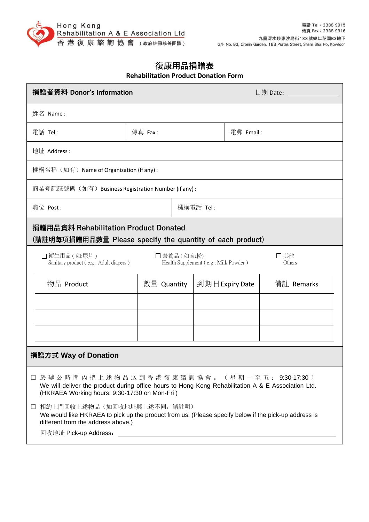

## **復康用品捐贈表 Rehabilitation Product Donation Form**

| 捐贈者資料 Donor's Information                                                                                                                                                                                                       |             |  |                 | 日期 Date: |            |  |
|---------------------------------------------------------------------------------------------------------------------------------------------------------------------------------------------------------------------------------|-------------|--|-----------------|----------|------------|--|
| 姓名 Name:                                                                                                                                                                                                                        |             |  |                 |          |            |  |
| 電話 Tel:                                                                                                                                                                                                                         | 傳真 Fax:     |  | 電郵 Email:       |          |            |  |
| 地址 Address:                                                                                                                                                                                                                     |             |  |                 |          |            |  |
| 機構名稱(如有)Name of Organization (If any) :                                                                                                                                                                                         |             |  |                 |          |            |  |
| 商業登記証號碼(如有)Business Registration Number (if any) :                                                                                                                                                                              |             |  |                 |          |            |  |
| 職位 Post:                                                                                                                                                                                                                        |             |  | 機構電話 Tel:       |          |            |  |
| 捐贈用品資料 Rehabilitation Product Donated<br>(請註明每項捐贈用品數量 Please specify the quantity of each product)                                                                                                                              |             |  |                 |          |            |  |
| □ 衛生用品(如:尿片)<br>□營養品 (如:奶粉)<br>□其他<br>Sanitary product (e.g : Adult diapers)<br>Health Supplement (e.g: Milk Powder)<br>Others                                                                                                  |             |  |                 |          |            |  |
| 物品 Product                                                                                                                                                                                                                      | 數量 Quantity |  | 到期日 Expiry Date |          | 備註 Remarks |  |
|                                                                                                                                                                                                                                 |             |  |                 |          |            |  |
|                                                                                                                                                                                                                                 |             |  |                 |          |            |  |
|                                                                                                                                                                                                                                 |             |  |                 |          |            |  |
| 捐贈方式 Way of Donation                                                                                                                                                                                                            |             |  |                 |          |            |  |
| □ 於 辦 公 時 間 內 把 上 述 物 品 送 到 香 港 復 康 諮 詢 協 會 。 ( 星 期 一 至 五 : 9:30-17:30 )<br>We will deliver the product during office hours to Hong Kong Rehabilitation A & E Association Ltd.<br>(HKRAEA Working hours: 9:30-17:30 on Mon-Fri) |             |  |                 |          |            |  |
| 相約上門回收上述物品(如回收地址與上述不同,請註明)<br>$\Box$<br>We would like HKRAEA to pick up the product from us. (Please specify below if the pick-up address is<br>different from the address above.)                                              |             |  |                 |          |            |  |
| 回收地址 Pick-up Address: National Action of the Marian Action of the Marian Action of the Marian Action of the Ma                                                                                                                  |             |  |                 |          |            |  |